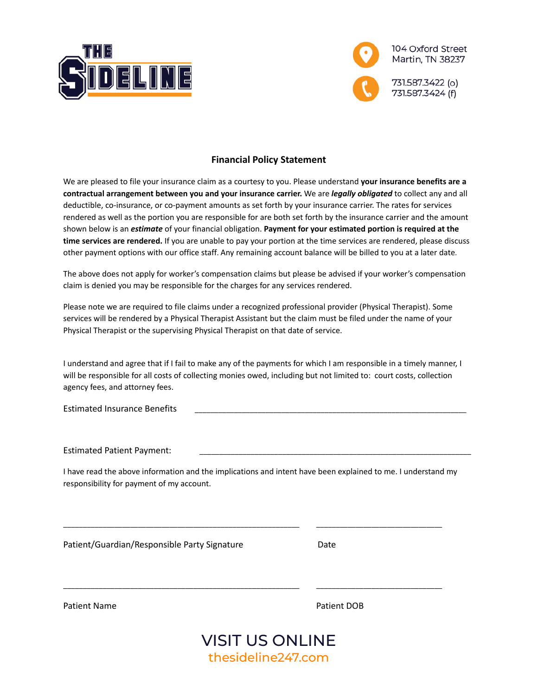



### **Financial Policy Statement**

We are pleased to file your insurance claim as a courtesy to you. Please understand **your insurance benefits are a contractual arrangement between you and your insurance carrier.** We are *legally obligated* to collect any and all deductible, co-insurance, or co-payment amounts as set forth by your insurance carrier. The rates for services rendered as well as the portion you are responsible for are both set forth by the insurance carrier and the amount shown below is an *estimate* of your financial obligation. **Payment for your estimated portion is required at the time services are rendered.** If you are unable to pay your portion at the time services are rendered, please discuss other payment options with our office staff. Any remaining account balance will be billed to you at a later date.

The above does not apply for worker's compensation claims but please be advised if your worker's compensation claim is denied you may be responsible for the charges for any services rendered.

Please note we are required to file claims under a recognized professional provider (Physical Therapist). Some services will be rendered by a Physical Therapist Assistant but the claim must be filed under the name of your Physical Therapist or the supervising Physical Therapist on that date of service.

I understand and agree that if I fail to make any of the payments for which I am responsible in a timely manner, I will be responsible for all costs of collecting monies owed, including but not limited to: court costs, collection agency fees, and attorney fees.

Estimated Insurance Benefits

Estimated Patient Payment:

I have read the above information and the implications and intent have been explained to me. I understand my responsibility for payment of my account.

\_\_\_\_\_\_\_\_\_\_\_\_\_\_\_\_\_\_\_\_\_\_\_\_\_\_\_\_\_\_\_\_\_\_\_\_\_\_\_\_\_\_\_\_\_\_\_\_\_\_\_\_\_\_\_\_\_\_\_\_ \_\_\_\_\_\_\_\_\_\_\_\_\_\_\_\_\_\_\_\_\_\_\_\_\_\_\_\_\_\_\_\_

\_\_\_\_\_\_\_\_\_\_\_\_\_\_\_\_\_\_\_\_\_\_\_\_\_\_\_\_\_\_\_\_\_\_\_\_\_\_\_\_\_\_\_\_\_\_\_\_\_\_\_\_\_\_\_\_\_\_\_\_ \_\_\_\_\_\_\_\_\_\_\_\_\_\_\_\_\_\_\_\_\_\_\_\_\_\_\_\_\_\_\_\_

Patient/Guardian/Responsible Party Signature Date

Patient Name **Patient DOB** 

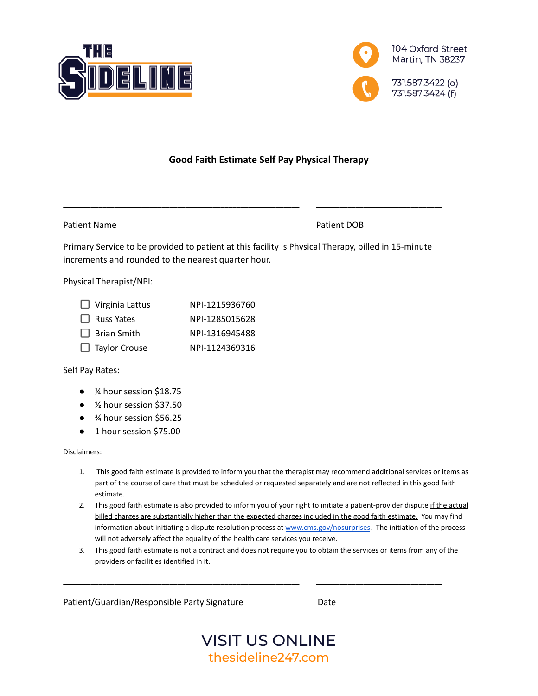



# **Good Faith Estimate Self Pay Physical Therapy**

Patient Name Patient DOB

Primary Service to be provided to patient at this facility is Physical Therapy, billed in 15-minute increments and rounded to the nearest quarter hour.

\_\_\_\_\_\_\_\_\_\_\_\_\_\_\_\_\_\_\_\_\_\_\_\_\_\_\_\_\_\_\_\_\_\_\_\_\_\_\_\_\_\_\_\_\_\_\_\_\_\_\_\_\_\_\_\_\_\_\_\_ \_\_\_\_\_\_\_\_\_\_\_\_\_\_\_\_\_\_\_\_\_\_\_\_\_\_\_\_\_\_\_\_

Physical Therapist/NPI:

| $\Box$ Virginia Lattus | NPI-1215936760 |
|------------------------|----------------|
| $\Box$ Russ Yates      | NPI-1285015628 |
| $\Box$ Brian Smith     | NPI-1316945488 |
| $\Box$ Taylor Crouse   | NPI-1124369316 |

Self Pay Rates:

- ¼ hour session \$18.75
- ½ hour session \$37.50
- <sup>3</sup>⁄4 hour session \$56.25
- 1 hour session \$75.00

Disclaimers:

- 1. This good faith estimate is provided to inform you that the therapist may recommend additional services or items as part of the course of care that must be scheduled or requested separately and are not reflected in this good faith estimate.
- 2. This good faith estimate is also provided to inform you of your right to initiate a patient-provider dispute if the actual billed charges are substantially higher than the expected charges included in the good faith estimate. You may find information about initiating a dispute resolution process at [www.cms.gov/nosurprises](http://www.cms.gov/nosurprises). The initiation of the process will not adversely affect the equality of the health care services you receive.
- 3. This good faith estimate is not a contract and does not require you to obtain the services or items from any of the providers or facilities identified in it.

\_\_\_\_\_\_\_\_\_\_\_\_\_\_\_\_\_\_\_\_\_\_\_\_\_\_\_\_\_\_\_\_\_\_\_\_\_\_\_\_\_\_\_\_\_\_\_\_\_\_\_\_\_\_\_\_\_\_\_\_ \_\_\_\_\_\_\_\_\_\_\_\_\_\_\_\_\_\_\_\_\_\_\_\_\_\_\_\_\_\_\_\_

Patient/Guardian/Responsible Party Signature Date

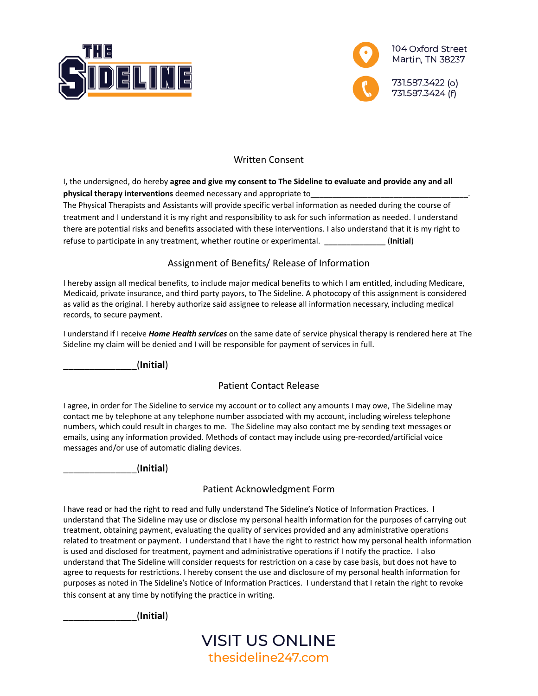



# Written Consent

I, the undersigned, do hereby **agree and give my consent to The Sideline to evaluate and provide any and all physical therapy interventions** deemed necessary and appropriate to\_\_\_\_\_\_\_\_\_\_\_\_\_\_\_\_\_\_\_\_\_\_\_\_\_\_\_\_\_\_\_\_\_\_\_\_.

The Physical Therapists and Assistants will provide specific verbal information as needed during the course of treatment and I understand it is my right and responsibility to ask for such information as needed. I understand there are potential risks and benefits associated with these interventions. I also understand that it is my right to refuse to participate in any treatment, whether routine or experimental. \_\_\_\_\_\_\_\_\_\_\_\_\_\_ (**Initial**)

## Assignment of Benefits/ Release of Information

I hereby assign all medical benefits, to include major medical benefits to which I am entitled, including Medicare, Medicaid, private insurance, and third party payors, to The Sideline. A photocopy of this assignment is considered as valid as the original. I hereby authorize said assignee to release all information necessary, including medical records, to secure payment.

I understand if I receive *Home Health services* on the same date of service physical therapy is rendered here at The Sideline my claim will be denied and I will be responsible for payment of services in full.

\_\_\_\_\_\_\_\_\_\_\_\_\_\_(**Initial**)

#### Patient Contact Release

I agree, in order for The Sideline to service my account or to collect any amounts I may owe, The Sideline may contact me by telephone at any telephone number associated with my account, including wireless telephone numbers, which could result in charges to me. The Sideline may also contact me by sending text messages or emails, using any information provided. Methods of contact may include using pre-recorded/artificial voice messages and/or use of automatic dialing devices.

\_\_\_\_\_\_\_\_\_\_\_\_\_\_(**Initial**)

#### Patient Acknowledgment Form

I have read or had the right to read and fully understand The Sideline's Notice of Information Practices. I understand that The Sideline may use or disclose my personal health information for the purposes of carrying out treatment, obtaining payment, evaluating the quality of services provided and any administrative operations related to treatment or payment. I understand that I have the right to restrict how my personal health information is used and disclosed for treatment, payment and administrative operations if I notify the practice. I also understand that The Sideline will consider requests for restriction on a case by case basis, but does not have to agree to requests for restrictions. I hereby consent the use and disclosure of my personal health information for purposes as noted in The Sideline's Notice of Information Practices. I understand that I retain the right to revoke this consent at any time by notifying the practice in writing.

\_\_\_\_\_\_\_\_\_\_\_\_\_\_(**Initial**)

VISIT US ONLINE thesideline247.com